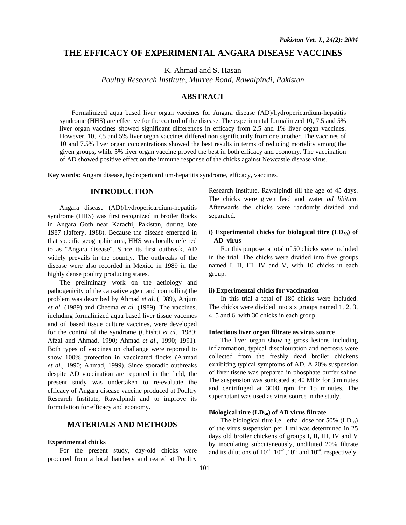## **THE EFFICACY OF EXPERIMENTAL ANGARA DISEASE VACCINES**

K. Ahmad and S. Hasan

*Poultry Research Institute, Murree Road, Rawalpindi, Pakistan* 

# **ABSTRACT**

Formalinized aqua based liver organ vaccines for Angara disease (AD)/hydropericardium-hepatitis syndrome (HHS) are effective for the control of the disease. The experimental formalinized 10, 7.5 and 5% liver organ vaccines showed significant differences in efficacy from 2.5 and 1% liver organ vaccines. However, 10, 7.5 and 5% liver organ vaccines differed non significantly from one another. The vaccines of 10 and 7.5% liver organ concentrations showed the best results in terms of reducing mortality among the given groups, while 5% liver organ vaccine proved the best in both efficacy and economy. The vaccination of AD showed positive effect on the immune response of the chicks against Newcastle disease virus.

**Key words:** Angara disease, hydropericardium-hepatitis syndrome, efficacy, vaccines.

# **INTRODUCTION**

Angara disease (AD)/hydropericardium-hepatitis syndrome (HHS) was first recognized in broiler flocks in Angara Goth near Karachi, Pakistan, during late 1987 (Jaffery, 1988). Because the disease emerged in that specific geographic area, HHS was locally referred to as "Angara disease". Since its first outbreak, AD widely prevails in the country. The outbreaks of the disease were also recorded in Mexico in 1989 in the highly dense poultry producing states.

The preliminary work on the aetiology and pathogenicity of the causative agent and controlling the problem was described by Ahmad *et al*. (1989), Anjum *et al.* (1989) and Cheema *et al*. (1989). The vaccines, including formalinized aqua based liver tissue vaccines and oil based tissue culture vaccines, were developed for the control of the syndrome (Chishti *et al*., 1989; Afzal and Ahmad, 1990; Ahmad *et al*., 1990; 1991). Both types of vaccines on challange were reported to show 100% protection in vaccinated flocks (Ahmad *et al*., 1990; Ahmad, 1999). Since sporadic outbreaks despite AD vaccination are reported in the field, the present study was undertaken to re-evaluate the efficacy of Angara disease vaccine produced at Poultry Research Institute, Rawalpindi and to improve its formulation for efficacy and economy.

# **MATERIALS AND METHODS**

### **Experimental chicks**

For the present study, day-old chicks were procured from a local hatchery and reared at Poultry Research Institute, Rawalpindi till the age of 45 days. The chicks were given feed and water *ad libitum*. Afterwards the chicks were randomly divided and separated.

## **i**) Experimental chicks for biological titre (LD<sub>50</sub>) of  **AD virus**

For this purpose, a total of 50 chicks were included in the trial. The chicks were divided into five groups named I, II, III, IV and V, with 10 chicks in each group.

#### **ii) Experimental chicks for vaccination**

In this trial a total of 180 chicks were included. The chicks were divided into six groups named 1, 2, 3, 4, 5 and 6, with 30 chicks in each group.

### **Infectious liver organ filtrate as virus source**

The liver organ showing gross lesions including inflammation, typical discolouration and necrosis were collected from the freshly dead broiler chickens exhibiting typical symptoms of AD. A 20% suspension of liver tissue was prepared in phosphate buffer saline. The suspension was sonicated at 40 MHz for 3 minutes and centrifuged at 3000 rpm for 15 minutes. The supernatant was used as virus source in the study.

#### **Biological titre (LD50) of AD virus filtrate**

The biological titre i.e. lethal dose for  $50\%$  (LD<sub>50</sub>) of the virus suspension per 1 ml was determined in 25 days old broiler chickens of groups I, II, III, IV and V by inoculating subcutaneously, undiluted 20% filtrate and its dilutions of  $10^{-1}$ ,  $10^{-2}$ ,  $10^{-3}$  and  $10^{-4}$ , respectively.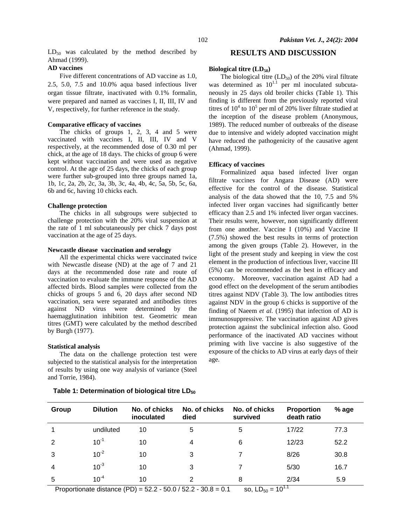$LD_{50}$  was calculated by the method described by Ahmad (1999).

## **AD vaccines**

Five different concentrations of AD vaccine as 1.0, 2.5, 5.0, 7.5 and 10.0% aqua based infectious liver organ tissue filtrate, inactivated with 0.1% formalin, were prepared and named as vaccines I, II, III, IV and V, respectively, for further reference in the study.

### **Comparative efficacy of vaccines**

The chicks of groups 1, 2, 3, 4 and 5 were vaccinated with vaccines I, II, III, IV and V respectively, at the recommended dose of 0.30 ml per chick, at the age of 18 days. The chicks of group 6 were kept without vaccination and were used as negative control. At the age of 25 days, the chicks of each group were further sub-grouped into three groups named 1a, 1b, 1c, 2a, 2b, 2c, 3a, 3b, 3c, 4a, 4b, 4c, 5a, 5b, 5c, 6a, 6b and 6c, having 10 chicks each.

### **Challenge protection**

The chicks in all subgroups were subjected to challenge protection with the 20% viral suspension at the rate of 1 ml subcutaneously per chick 7 days post vaccination at the age of 25 days.

### **Newcastle disease vaccination and serology**

All the experimental chicks were vaccinated twice with Newcastle disease (ND) at the age of 7 and 21 days at the recommended dose rate and route of vaccination to evaluate the immune response of the AD affected birds. Blood samples were collected from the chicks of groups 5 and 6, 20 days after second ND vaccination, sera were separated and antibodies titres against ND virus were determined by the haemagglutination inhibition test. Geometric mean titres (GMT) were calculated by the method described by Burgh (1977).

#### **Statistical analysis**

The data on the challenge protection test were subjected to the statistical analysis for the interpretation of results by using one way analysis of variance (Steel and Torrie, 1984).

## Table 1: Determination of biological titre LD<sub>50</sub>

## **RESULTS AND DISCUSSION**

# **Biological titre (LD<sub>50</sub>)**

The biological titre  $(LD_{50})$  of the 20% viral filtrate was determined as  $10^{1.1}$  per ml inoculated subcutaneously in 25 days old broiler chicks (Table 1). This finding is different from the previously reported viral titres of  $10^4$  to  $10^5$  per ml of 20% liver filtrate studied at the inception of the disease problem (Anonymous, 1989). The reduced number of outbreaks of the disease due to intensive and widely adopted vaccination might have reduced the pathogenicity of the causative agent (Ahmad, 1999).

#### **Efficacy of vaccines**

Formalinized aqua based infected liver organ filtrate vaccines for Angara Disease (AD) were effective for the control of the disease. Statistical analysis of the data showed that the 10, 7.5 and 5% infected liver organ vaccines had significantly better efficacy than 2.5 and 1% infected liver organ vaccines. Their results were, however, non significantly different from one another. Vaccine I (10%) and Vaccine II (7.5%) showed the best results in terms of protection among the given groups (Table 2). However, in the light of the present study and keeping in view the cost element in the production of infectious liver, vaccine III (5%) can be recommended as the best in efficacy and economy. Moreover, vaccination against AD had a good effect on the development of the serum antibodies titres against NDV (Table 3). The low antibodies titres against NDV in the group 6 chicks is supportive of the finding of Naeem *et al.* (1995) that infection of AD is immunosuppressive. The vaccination against AD gives protection against the subclinical infection also. Good performance of the inactivated AD vaccines without priming with live vaccine is also suggestive of the exposure of the chicks to AD virus at early days of their age.

| Group | <b>Dilution</b> | No. of chicks<br>inoculated | No. of chicks<br>died | No. of chicks<br>survived | <b>Proportion</b><br>death ratio | $%$ age |
|-------|-----------------|-----------------------------|-----------------------|---------------------------|----------------------------------|---------|
|       | undiluted       | 10                          | 5                     | 5                         | 17/22                            | 77.3    |
| 2     | $10^{-1}$       | 10                          | 4                     | 6                         | 12/23                            | 52.2    |
| 3     | $10^{-2}$       | 10                          | 3                     |                           | 8/26                             | 30.8    |
| 4     | $10^{-3}$       | 10                          | 3                     |                           | 5/30                             | 16.7    |
| 5     | $10^{-4}$       | 10                          | 2                     | 8                         | 2/34<br>$. -11$                  | 5.9     |

Proportionate distance (PD) =  $52.2 - 50.0 / 52.2 - 30.8 = 0.1$  so,  $LD_{50} = 10$